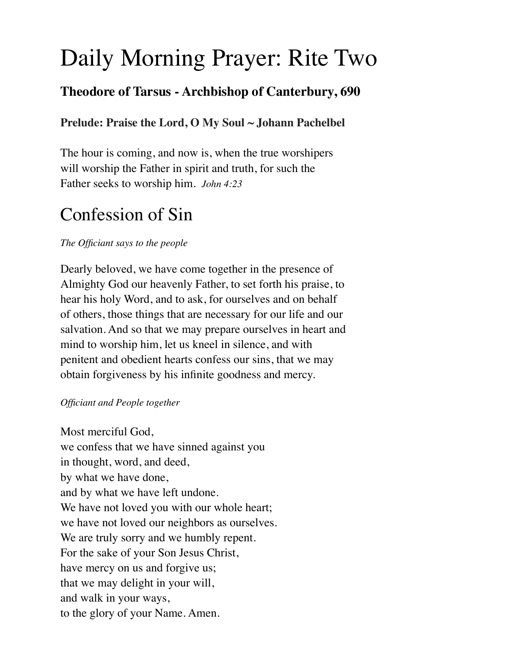# Daily Morning Prayer: Rite Two

# **Theodore of Tarsus - Archbishop of Canterbury, 690**

### **Prelude: Praise the Lord, O My Soul ~ Johann Pachelbel**

The hour is coming, and now is, when the true worshipers will worship the Father in spirit and truth, for such the Father seeks to worship him. *John 4:23*

# Confession of Sin

### *The Officiant says to the people*

Dearly beloved, we have come together in the presence of Almighty God our heavenly Father, to set forth his praise, to hear his holy Word, and to ask, for ourselves and on behalf of others, those things that are necessary for our life and our salvation. And so that we may prepare ourselves in heart and mind to worship him, let us kneel in silence, and with penitent and obedient hearts confess our sins, that we may obtain forgiveness by his infinite goodness and mercy.

### *Officiant and People together*

Most merciful God, we confess that we have sinned against you in thought, word, and deed, by what we have done, and by what we have left undone. We have not loved you with our whole heart; we have not loved our neighbors as ourselves. We are truly sorry and we humbly repent. For the sake of your Son Jesus Christ, have mercy on us and forgive us; that we may delight in your will, and walk in your ways, to the glory of your Name. Amen.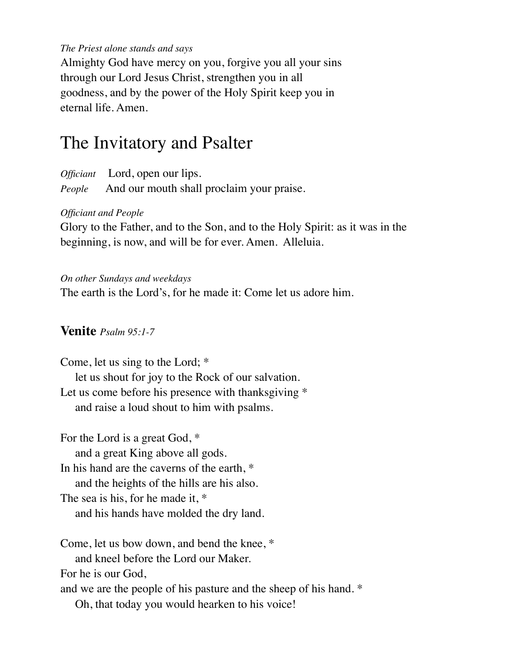#### *The Priest alone stands and says*

Almighty God have mercy on you, forgive you all your sins through our Lord Jesus Christ, strengthen you in all goodness, and by the power of the Holy Spirit keep you in eternal life. Amen.

# The Invitatory and Psalter

*Officiant* Lord, open our lips. *People* And our mouth shall proclaim your praise.

#### *Officiant and People*

Glory to the Father, and to the Son, and to the Holy Spirit: as it was in the beginning, is now, and will be for ever. Amen. Alleluia.

#### *On other Sundays and weekdays*

The earth is the Lord's, for he made it: Come let us adore him.

#### **Venite** *Psalm 95:1-7*

Come, let us sing to the Lord; \* let us shout for joy to the Rock of our salvation. Let us come before his presence with thanksgiving  $*$ and raise a loud shout to him with psalms.

For the Lord is a great God, \* and a great King above all gods. In his hand are the caverns of the earth, \* and the heights of the hills are his also. The sea is his, for he made it, \* and his hands have molded the dry land.

Come, let us bow down, and bend the knee, \* and kneel before the Lord our Maker. For he is our God, and we are the people of his pasture and the sheep of his hand. \* Oh, that today you would hearken to his voice!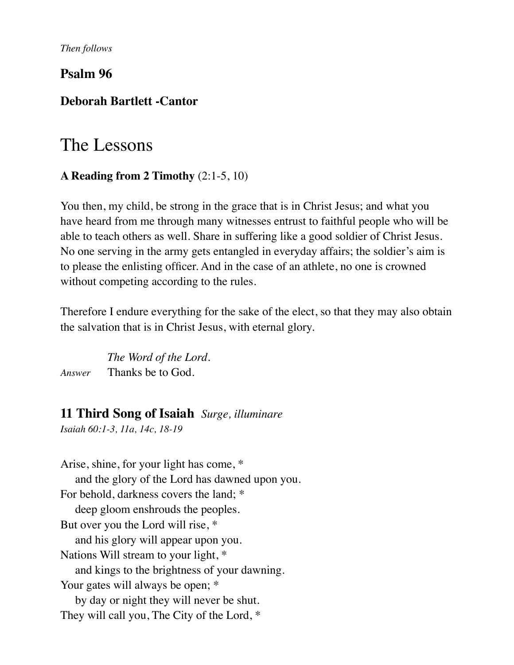*Then follows* 

### **Psalm 96**

### **Deborah Bartlett -Cantor**

# The Lessons

### **A Reading from 2 Timothy** (2:1-5, 10)

You then, my child, be strong in the grace that is in Christ Jesus; and what you have heard from me through many witnesses entrust to faithful people who will be able to teach others as well. Share in suffering like a good soldier of Christ Jesus. No one serving in the army gets entangled in everyday affairs; the soldier's aim is to please the enlisting officer. And in the case of an athlete, no one is crowned without competing according to the rules.

Therefore I endure everything for the sake of the elect, so that they may also obtain the salvation that is in Christ Jesus, with eternal glory.

 *The Word of the Lord. Answer* Thanks be to God.

### **11 Third Song of Isaiah** *Surge, illuminare*

*Isaiah 60:1-3, 11a, 14c, 18-19*

Arise, shine, for your light has come, \* and the glory of the Lord has dawned upon you. For behold, darkness covers the land; \* deep gloom enshrouds the peoples. But over you the Lord will rise, \* and his glory will appear upon you. Nations Will stream to your light, \* and kings to the brightness of your dawning. Your gates will always be open;  $*$  by day or night they will never be shut. They will call you, The City of the Lord, \*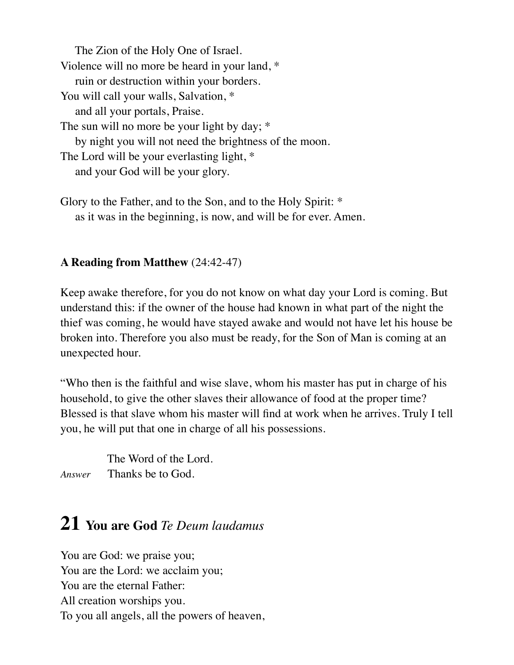The Zion of the Holy One of Israel. Violence will no more be heard in your land, \* ruin or destruction within your borders. You will call your walls, Salvation,  $*$  and all your portals, Praise. The sun will no more be your light by day; \* by night you will not need the brightness of the moon. The Lord will be your everlasting light, \* and your God will be your glory.

Glory to the Father, and to the Son, and to the Holy Spirit: \* as it was in the beginning, is now, and will be for ever. Amen.

### **A Reading from Matthew** (24:42-47)

Keep awake therefore, for you do not know on what day your Lord is coming. But understand this: if the owner of the house had known in what part of the night the thief was coming, he would have stayed awake and would not have let his house be broken into. Therefore you also must be ready, for the Son of Man is coming at an unexpected hour.

"Who then is the faithful and wise slave, whom his master has put in charge of his household, to give the other slaves their allowance of food at the proper time? Blessed is that slave whom his master will find at work when he arrives. Truly I tell you, he will put that one in charge of all his possessions.

 The Word of the Lord. *Answer* Thanks be to God.

# **21 You are God** *Te Deum laudamus*

You are God: we praise you; You are the Lord: we acclaim you; You are the eternal Father: All creation worships you. To you all angels, all the powers of heaven,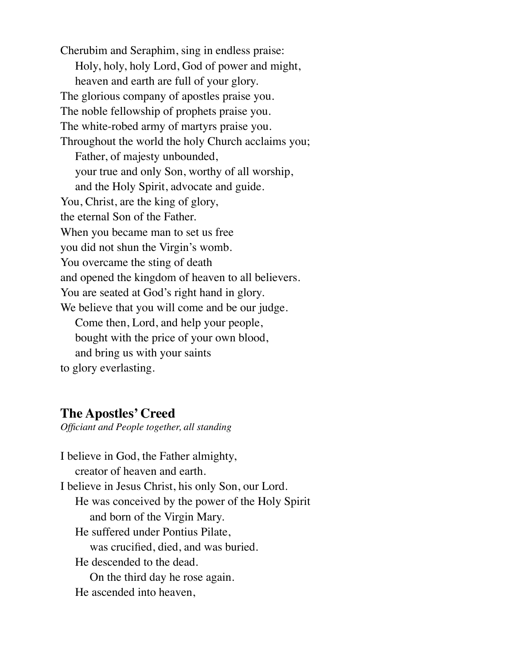Cherubim and Seraphim, sing in endless praise: Holy, holy, holy Lord, God of power and might, heaven and earth are full of your glory. The glorious company of apostles praise you. The noble fellowship of prophets praise you. The white-robed army of martyrs praise you. Throughout the world the holy Church acclaims you; Father, of majesty unbounded, your true and only Son, worthy of all worship, and the Holy Spirit, advocate and guide. You, Christ, are the king of glory, the eternal Son of the Father. When you became man to set us free you did not shun the Virgin's womb. You overcame the sting of death and opened the kingdom of heaven to all believers. You are seated at God's right hand in glory. We believe that you will come and be our judge. Come then, Lord, and help your people, bought with the price of your own blood, and bring us with your saints to glory everlasting.

### **The Apostles' Creed**

*Officiant and People together, all standing* 

I believe in God, the Father almighty, creator of heaven and earth. I believe in Jesus Christ, his only Son, our Lord. He was conceived by the power of the Holy Spirit and born of the Virgin Mary. He suffered under Pontius Pilate, was crucified, died, and was buried. He descended to the dead. On the third day he rose again. He ascended into heaven,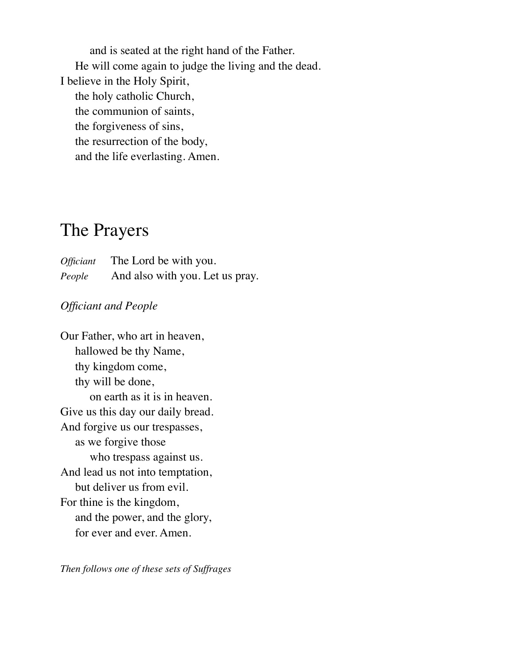and is seated at the right hand of the Father. He will come again to judge the living and the dead. I believe in the Holy Spirit, the holy catholic Church, the communion of saints, the forgiveness of sins, the resurrection of the body, and the life everlasting. Amen.

# The Prayers

*Officiant* The Lord be with you. *People* And also with you. Let us pray.

### *Officiant and People*

Our Father, who art in heaven, hallowed be thy Name, thy kingdom come, thy will be done, on earth as it is in heaven. Give us this day our daily bread. And forgive us our trespasses, as we forgive those who trespass against us. And lead us not into temptation, but deliver us from evil. For thine is the kingdom, and the power, and the glory, for ever and ever. Amen.

*Then follows one of these sets of Suffrages*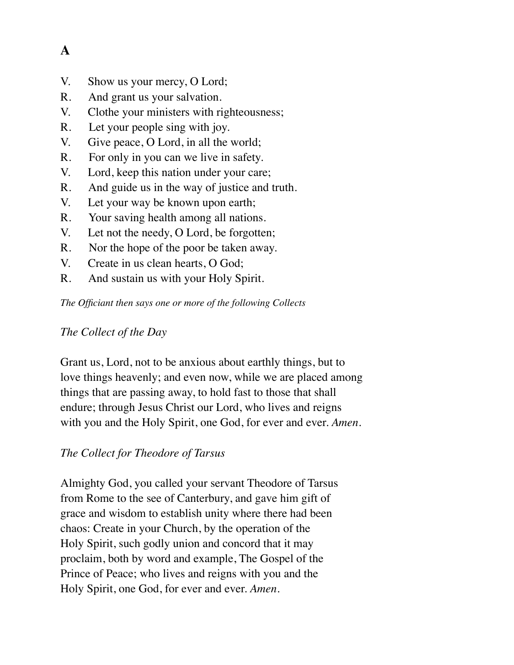# **A**

- V. Show us your mercy, O Lord;
- R. And grant us your salvation.
- V. Clothe your ministers with righteousness;
- R. Let your people sing with joy.
- V. Give peace, O Lord, in all the world;
- R. For only in you can we live in safety.
- V. Lord, keep this nation under your care;
- R. And guide us in the way of justice and truth.
- V. Let your way be known upon earth;
- R. Your saving health among all nations.
- V. Let not the needy, O Lord, be forgotten;
- R. Nor the hope of the poor be taken away.
- V. Create in us clean hearts, O God;
- R. And sustain us with your Holy Spirit.

*The Officiant then says one or more of the following Collects* 

### *The Collect of the Day*

Grant us, Lord, not to be anxious about earthly things, but to love things heavenly; and even now, while we are placed among things that are passing away, to hold fast to those that shall endure; through Jesus Christ our Lord, who lives and reigns with you and the Holy Spirit, one God, for ever and ever. *Amen.*

# *The Collect for Theodore of Tarsus*

Almighty God, you called your servant Theodore of Tarsus from Rome to the see of Canterbury, and gave him gift of grace and wisdom to establish unity where there had been chaos: Create in your Church, by the operation of the Holy Spirit, such godly union and concord that it may proclaim, both by word and example, The Gospel of the Prince of Peace; who lives and reigns with you and the Holy Spirit, one God, for ever and ever. *Amen*.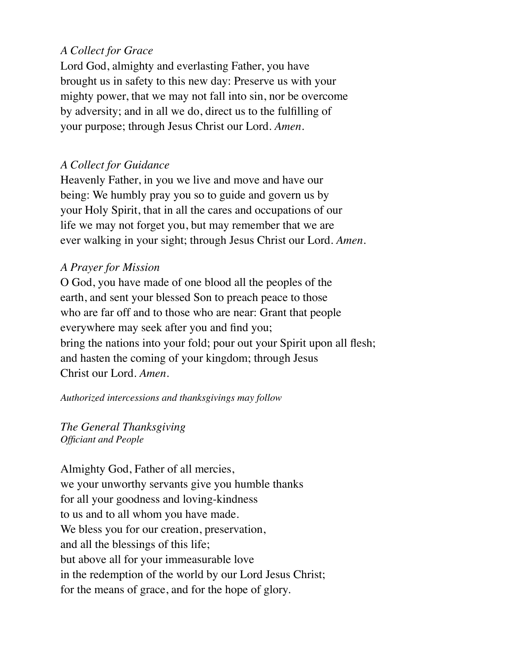### *A Collect for Grace*

Lord God, almighty and everlasting Father, you have brought us in safety to this new day: Preserve us with your mighty power, that we may not fall into sin, nor be overcome by adversity; and in all we do, direct us to the fulfilling of your purpose; through Jesus Christ our Lord. *Amen*.

### *A Collect for Guidance*

Heavenly Father, in you we live and move and have our being: We humbly pray you so to guide and govern us by your Holy Spirit, that in all the cares and occupations of our life we may not forget you, but may remember that we are ever walking in your sight; through Jesus Christ our Lord. *Amen*.

### *A Prayer for Mission*

O God, you have made of one blood all the peoples of the earth, and sent your blessed Son to preach peace to those who are far off and to those who are near: Grant that people everywhere may seek after you and find you; bring the nations into your fold; pour out your Spirit upon all flesh; and hasten the coming of your kingdom; through Jesus Christ our Lord. *Amen*.

*Authorized intercessions and thanksgivings may follow* 

*The General Thanksgiving Officiant and People* 

Almighty God, Father of all mercies, we your unworthy servants give you humble thanks for all your goodness and loving-kindness to us and to all whom you have made. We bless you for our creation, preservation, and all the blessings of this life; but above all for your immeasurable love in the redemption of the world by our Lord Jesus Christ; for the means of grace, and for the hope of glory.